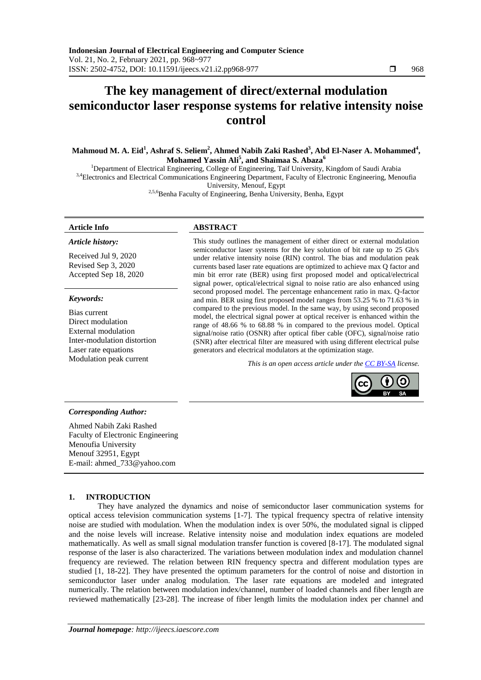# **The key management of direct/external modulation semiconductor laser response systems for relative intensity noise control**

**Mahmoud M. A. Eid<sup>1</sup> , Ashraf S. Seliem<sup>2</sup> , Ahmed Nabih Zaki Rashed<sup>3</sup> , Abd El-Naser A. Mohammed<sup>4</sup> , Mohamed Yassin Ali<sup>5</sup> , and Shaimaa S. Abaza<sup>6</sup>**

<sup>1</sup>Department of Electrical Engineering, College of Engineering, Taif University, Kingdom of Saudi Arabia 3,4 Electronics and Electrical Communications Engineering Department, Faculty of Electronic Engineering, Menoufia University, Menouf, Egypt

<sup>2,5,6</sup>Benha Faculty of Engineering, Benha University, Benha, Egypt

#### *Article history:*

Received Jul 9, 2020 Revised Sep 3, 2020 Accepted Sep 18, 2020

#### *Keywords:*

Bias current Direct modulation External modulation Inter-modulation distortion Laser rate equations<br>Modulation peak current

### **Article Info ABSTRACT**

This study outlines the management of either direct or external modulation semiconductor laser systems for the key solution of bit rate up to 25 Gb/s under relative intensity noise (RIN) control. The bias and modulation peak currents based laser rate equations are optimized to achieve max Q factor and min bit error rate (BER) using first proposed model and optical/electrical signal power, optical/electrical signal to noise ratio are also enhanced using second proposed model. The percentage enhancement ratio in max. Q-factor and min. BER using first proposed model ranges from 53.25 % to 71.63 % in compared to the previous model. In the same way, by using second proposed model, the electrical signal power at optical receiver is enhanced within the range of 48.66 % to 68.88 % in compared to the previous model. Optical signal/noise ratio (OSNR) after optical fiber cable (OFC), signal/noise ratio (SNR) after electrical filter are measured with using different electrical pulse generators and electrical modulators at the optimization stage.

*This is an open access article under the CC BY-SA license.* 



#### *Corresponding Author:*

Ahmed Nabih Zaki Rashed Faculty of Electronic Engineering Menoufia University Menouf 32951, Egypt E-mail: ahmed\_733@yahoo.com

#### **1. INTRODUCTION**

They have analyzed the dynamics and noise of semiconductor laser communication systems for optical access television communication systems [1-7]. The typical frequency spectra of relative intensity noise are studied with modulation. When the modulation index is over 50%, the modulated signal is clipped and the noise levels will increase. Relative intensity noise and modulation index equations are modeled mathematically. As well as small signal modulation transfer function is covered [8-17]. The modulated signal response of the laser is also characterized. The variations between modulation index and modulation channel frequency are reviewed. The relation between RIN frequency spectra and different modulation types are studied [1, 18-22]. They have presented the optimum parameters for the control of noise and distortion in semiconductor laser under analog modulation. The laser rate equations are modeled and integrated numerically. The relation between modulation index/channel, number of loaded channels and fiber length are reviewed mathematically [23-28]. The increase of fiber length limits the modulation index per channel and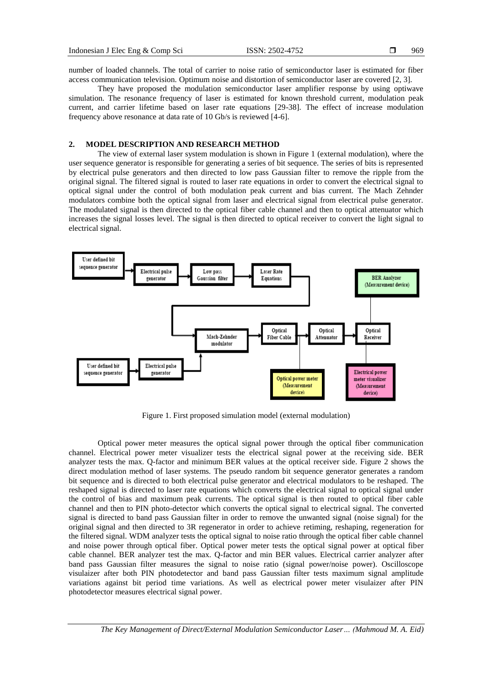969

number of loaded channels. The total of carrier to noise ratio of semiconductor laser is estimated for fiber access communication television. Optimum noise and distortion of semiconductor laser are covered [2, 3].

They have proposed the modulation semiconductor laser amplifier response by using optiwave simulation. The resonance frequency of laser is estimated for known threshold current, modulation peak current, and carrier lifetime based on laser rate equations [29-38]. The effect of increase modulation frequency above resonance at data rate of 10 Gb/s is reviewed [4-6].

#### **2. MODEL DESCRIPTION AND RESEARCH METHOD**

The view of external laser system modulation is shown in Figure 1 (external modulation), where the user sequence generator is responsible for generating a series of bit sequence. The series of bits is represented by electrical pulse generators and then directed to low pass Gaussian filter to remove the ripple from the original signal. The filtered signal is routed to laser rate equations in order to convert the electrical signal to optical signal under the control of both modulation peak current and bias current. The Mach Zehnder modulators combine both the optical signal from laser and electrical signal from electrical pulse generator. The modulated signal is then directed to the optical fiber cable channel and then to optical attenuator which increases the signal losses level. The signal is then directed to optical receiver to convert the light signal to electrical signal.



Figure 1. First proposed simulation model (external modulation)

Optical power meter measures the optical signal power through the optical fiber communication channel. Electrical power meter visualizer tests the electrical signal power at the receiving side. BER analyzer tests the max. Q-factor and minimum BER values at the optical receiver side. Figure 2 shows the direct modulation method of laser systems. The pseudo random bit sequence generator generates a random bit sequence and is directed to both electrical pulse generator and electrical modulators to be reshaped. The reshaped signal is directed to laser rate equations which converts the electrical signal to optical signal under the control of bias and maximum peak currents. The optical signal is then routed to optical fiber cable channel and then to PIN photo-detector which converts the optical signal to electrical signal. The converted signal is directed to band pass Gaussian filter in order to remove the unwanted signal (noise signal) for the original signal and then directed to 3R regenerator in order to achieve retiming, reshaping, regeneration for the filtered signal. WDM analyzer tests the optical signal to noise ratio through the optical fiber cable channel and noise power through optical fiber. Optical power meter tests the optical signal power at optical fiber cable channel. BER analyzer test the max. Q-factor and min BER values. Electrical carrier analyzer after band pass Gaussian filter measures the signal to noise ratio (signal power/noise power). Oscilloscope visulaizer after both PIN photodetector and band pass Gaussian filter tests maximum signal amplitude variations against bit period time variations. As well as electrical power meter visulaizer after PIN photodetector measures electrical signal power.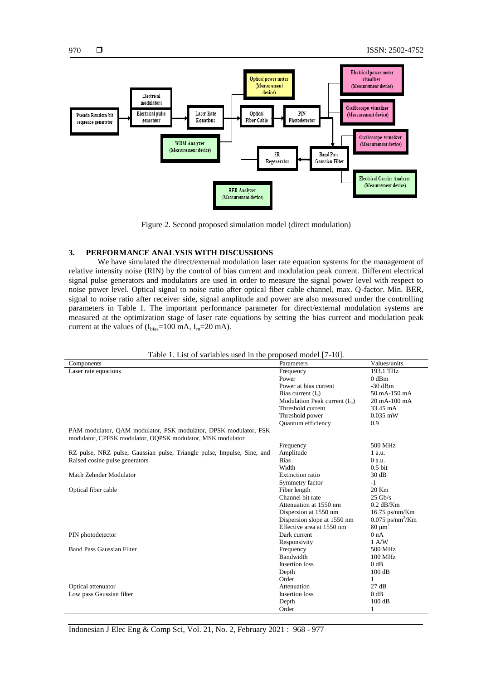

Figure 2. Second proposed simulation model (direct modulation)

# **3. PERFORMANCE ANALYSIS WITH DISCUSSIONS**

We have simulated the direct/external modulation laser rate equation systems for the management of relative intensity noise (RIN) by the control of bias current and modulation peak current. Different electrical signal pulse generators and modulators are used in order to measure the signal power level with respect to noise power level. Optical signal to noise ratio after optical fiber cable channel, max. Q-factor. Min. BER, signal to noise ratio after receiver side, signal amplitude and power are also measured under the controlling parameters in Table 1. The important performance parameter for direct/external modulation systems are measured at the optimization stage of laser rate equations by setting the bias current and modulation peak current at the values of  $(I_{bias}=100 \text{ mA}, I_{m}=20 \text{ mA}).$ 

| Table 1. List of variables used in the proposed model [7-10].                                                                  |                                 |                                |
|--------------------------------------------------------------------------------------------------------------------------------|---------------------------------|--------------------------------|
| Components                                                                                                                     | Parameters                      | Values/units                   |
| Laser rate equations                                                                                                           | Frequency                       | 193.1 THz                      |
|                                                                                                                                | Power                           | $0$ dBm                        |
|                                                                                                                                | Power at bias current           | $-30$ dBm                      |
|                                                                                                                                | Bias current $(I_h)$            | 50 mA-150 mA                   |
|                                                                                                                                | Modulation Peak current $(I_m)$ | 20 mA-100 mA                   |
|                                                                                                                                | Threshold current               | 33.45 mA                       |
|                                                                                                                                | Threshold power                 | $0.035$ mW                     |
|                                                                                                                                | Quantum efficiency              | 0.9                            |
| PAM modulator, QAM modulator, PSK modulator, DPSK modulator, FSK<br>modulator, CPFSK modulator, OQPSK modulator, MSK modulator |                                 |                                |
|                                                                                                                                | Frequency                       | 500 MHz                        |
| RZ pulse, NRZ pulse, Gaussian pulse, Triangle pulse, Impulse, Sine, and                                                        | Amplitude                       | 1 a.u.                         |
| Raised cosine pulse generators                                                                                                 | <b>Bias</b>                     | $0$ a.u.                       |
|                                                                                                                                | Width                           | $0.5$ bit                      |
| Mach Zehnder Modulator                                                                                                         | Extinction ratio                | 30 dB                          |
|                                                                                                                                | Symmetry factor                 | $-1$                           |
| Optical fiber cable                                                                                                            | Fiber length                    | 20 Km                          |
|                                                                                                                                | Channel bit rate                | $25 \text{ Gb/s}$              |
|                                                                                                                                | Attenuation at 1550 nm          | $0.2$ dB/Km                    |
|                                                                                                                                | Dispersion at 1550 nm           | $16.75$ ps/nm/Km               |
|                                                                                                                                | Dispersion slope at 1550 nm     | $0.075$ ps/nm <sup>2</sup> /Km |
|                                                                                                                                | Effective area at 1550 nm       | $80 \mu m^2$                   |
| PIN photodetector                                                                                                              | Dark current                    | 0 nA                           |
|                                                                                                                                | Responsivity                    | $1 \text{ A/W}$                |
| <b>Band Pass Gaussian Filter</b>                                                                                               | Frequency                       | 500 MHz                        |
|                                                                                                                                | Bandwidth                       | 100 MHz                        |
|                                                                                                                                | Insertion loss                  | 0 dB                           |
|                                                                                                                                | Depth                           | 100 dB                         |
|                                                                                                                                | Order                           | 1                              |
| Optical attenuator                                                                                                             | Attenuation                     | 27 dB                          |
| Low pass Gaussian filter                                                                                                       | <b>Insertion</b> loss           | $0$ dB                         |
|                                                                                                                                | Depth                           | 100dB                          |
|                                                                                                                                | Order                           | 1                              |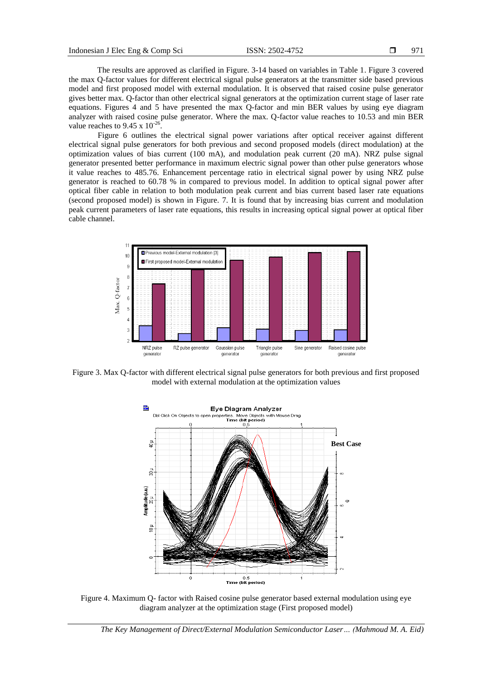The results are approved as clarified in Figure. 3-14 based on variables in Table 1. Figure 3 covered the max Q-factor values for different electrical signal pulse generators at the transmitter side based previous model and first proposed model with external modulation. It is observed that raised cosine pulse generator gives better max. Q-factor than other electrical signal generators at the optimization current stage of laser rate equations. Figures 4 and 5 have presented the max Q-factor and min BER values by using eye diagram analyzer with raised cosine pulse generator. Where the max. Q-factor value reaches to 10.53 and min BER value reaches to 9.45 x  $10^{-26}$ .

Figure 6 outlines the electrical signal power variations after optical receiver against different electrical signal pulse generators for both previous and second proposed models (direct modulation) at the optimization values of bias current (100 mA), and modulation peak current (20 mA). NRZ pulse signal generator presented better performance in maximum electric signal power than other pulse generators whose it value reaches to 485.76. Enhancement percentage ratio in electrical signal power by using NRZ pulse generator is reached to 60.78 % in compared to previous model. In addition to optical signal power after optical fiber cable in relation to both modulation peak current and bias current based laser rate equations (second proposed model) is shown in Figure. 7. It is found that by increasing bias current and modulation peak current parameters of laser rate equations, this results in increasing optical signal power at optical fiber cable channel.



Figure 3. Max Q-factor with different electrical signal pulse generators for both previous and first proposed model with external modulation at the optimization values



Figure 4. Maximum Q- factor with Raised cosine pulse generator based external modulation using eye diagram analyzer at the optimization stage (First proposed model)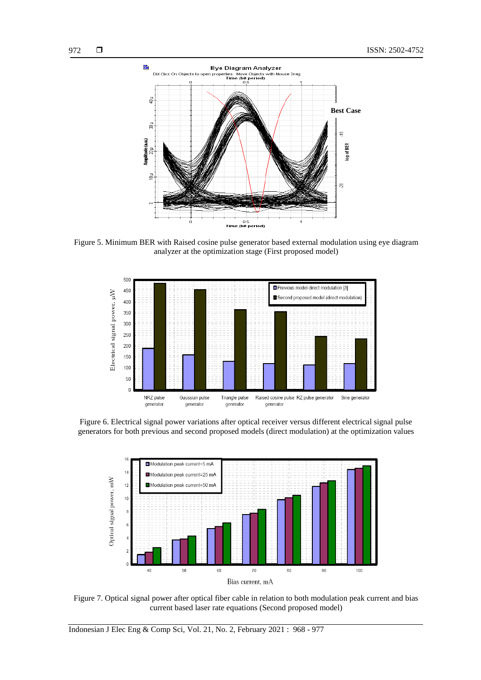

Figure 5. Minimum BER with Raised cosine pulse generator based external modulation using eye diagram analyzer at the optimization stage (First proposed model)



Figure 6. Electrical signal power variations after optical receiver versus different electrical signal pulse generators for both previous and second proposed models (direct modulation) at the optimization values



Figure 7. Optical signal power after optical fiber cable in relation to both modulation peak current and bias current based laser rate equations (Second proposed model)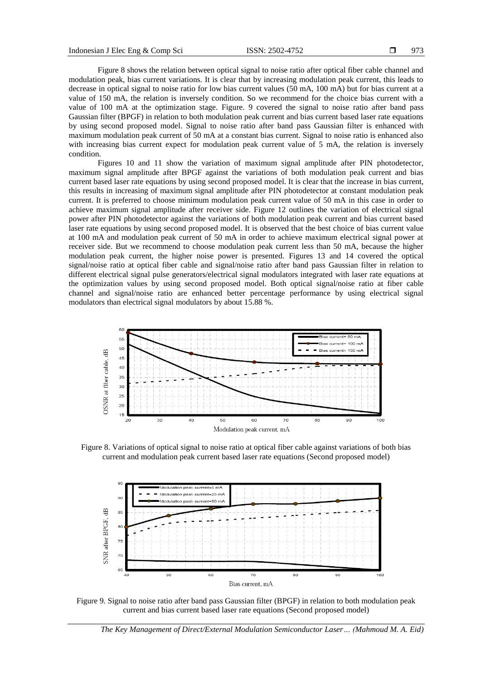Figure 8 shows the relation between optical signal to noise ratio after optical fiber cable channel and modulation peak, bias current variations. It is clear that by increasing modulation peak current, this leads to decrease in optical signal to noise ratio for low bias current values (50 mA, 100 mA) but for bias current at a value of 150 mA, the relation is inversely condition. So we recommend for the choice bias current with a value of 100 mA at the optimization stage. Figure. 9 covered the signal to noise ratio after band pass Gaussian filter (BPGF) in relation to both modulation peak current and bias current based laser rate equations by using second proposed model. Signal to noise ratio after band pass Gaussian filter is enhanced with maximum modulation peak current of 50 mA at a constant bias current. Signal to noise ratio is enhanced also with increasing bias current expect for modulation peak current value of 5 mA, the relation is inversely condition.

Figures 10 and 11 show the variation of maximum signal amplitude after PIN photodetector, maximum signal amplitude after BPGF against the variations of both modulation peak current and bias current based laser rate equations by using second proposed model. It is clear that the increase in bias current, this results in increasing of maximum signal amplitude after PIN photodetector at constant modulation peak current. It is preferred to choose minimum modulation peak current value of 50 mA in this case in order to achieve maximum signal amplitude after receiver side. Figure 12 outlines the variation of electrical signal power after PIN photodetector against the variations of both modulation peak current and bias current based laser rate equations by using second proposed model. It is observed that the best choice of bias current value at 100 mA and modulation peak current of 50 mA in order to achieve maximum electrical signal power at receiver side. But we recommend to choose modulation peak current less than 50 mA, because the higher modulation peak current, the higher noise power is presented. Figures 13 and 14 covered the optical signal/noise ratio at optical fiber cable and signal/noise ratio after band pass Gaussian filter in relation to different electrical signal pulse generators/electrical signal modulators integrated with laser rate equations at the optimization values by using second proposed model. Both optical signal/noise ratio at fiber cable channel and signal/noise ratio are enhanced better percentage performance by using electrical signal modulators than electrical signal modulators by about 15.88 %.



Figure 8. Variations of optical signal to noise ratio at optical fiber cable against variations of both bias current and modulation peak current based laser rate equations (Second proposed model)



Figure 9. Signal to noise ratio after band pass Gaussian filter (BPGF) in relation to both modulation peak current and bias current based laser rate equations (Second proposed model)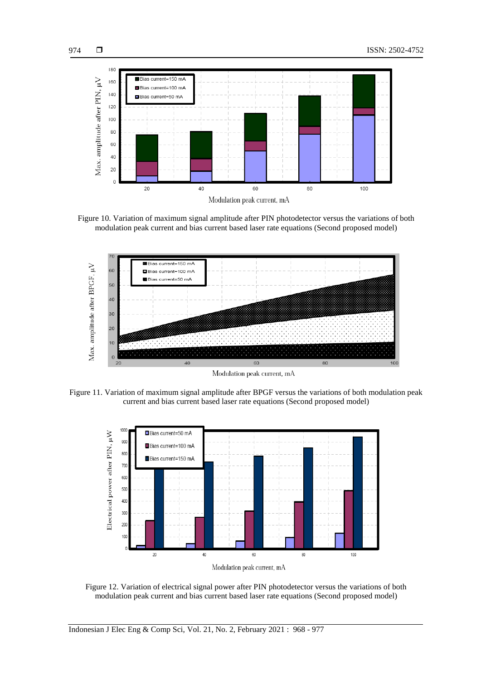

Figure 10. Variation of maximum signal amplitude after PIN photodetector versus the variations of both modulation peak current and bias current based laser rate equations (Second proposed model)



Modulation peak current, mA

Figure 11. Variation of maximum signal amplitude after BPGF versus the variations of both modulation peak current and bias current based laser rate equations (Second proposed model)



Figure 12. Variation of electrical signal power after PIN photodetector versus the variations of both modulation peak current and bias current based laser rate equations (Second proposed model)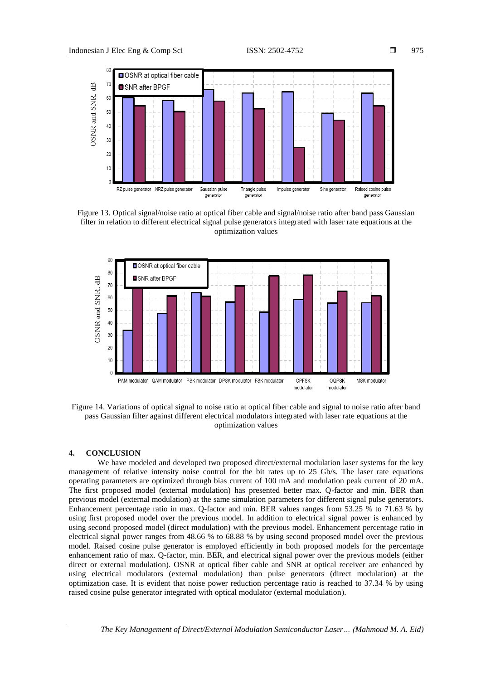

Figure 13. Optical signal/noise ratio at optical fiber cable and signal/noise ratio after band pass Gaussian filter in relation to different electrical signal pulse generators integrated with laser rate equations at the optimization values



Figure 14. Variations of optical signal to noise ratio at optical fiber cable and signal to noise ratio after band pass Gaussian filter against different electrical modulators integrated with laser rate equations at the optimization values

# **4. CONCLUSION**

We have modeled and developed two proposed direct/external modulation laser systems for the key management of relative intensity noise control for the bit rates up to 25 Gb/s. The laser rate equations operating parameters are optimized through bias current of 100 mA and modulation peak current of 20 mA. The first proposed model (external modulation) has presented better max. Q-factor and min. BER than previous model (external modulation) at the same simulation parameters for different signal pulse generators. Enhancement percentage ratio in max. Q-factor and min. BER values ranges from 53.25 % to 71.63 % by using first proposed model over the previous model. In addition to electrical signal power is enhanced by using second proposed model (direct modulation) with the previous model. Enhancement percentage ratio in electrical signal power ranges from 48.66 % to 68.88 % by using second proposed model over the previous model. Raised cosine pulse generator is employed efficiently in both proposed models for the percentage enhancement ratio of max. Q-factor, min. BER, and electrical signal power over the previous models (either direct or external modulation). OSNR at optical fiber cable and SNR at optical receiver are enhanced by using electrical modulators (external modulation) than pulse generators (direct modulation) at the optimization case. It is evident that noise power reduction percentage ratio is reached to 37.34 % by using raised cosine pulse generator integrated with optical modulator (external modulation).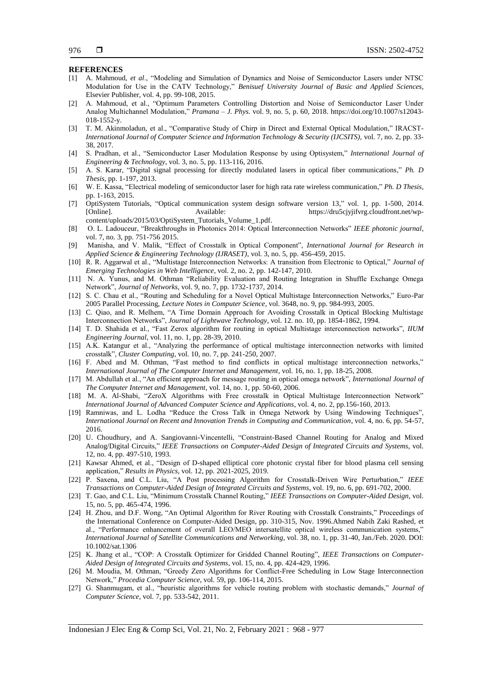### **REFERENCES**

- [1] A. Mahmoud, *et al*., "Modeling and Simulation of Dynamics and Noise of Semiconductor Lasers under NTSC Modulation for Use in the CATV Technology," *Benisuef University Journal of Basic and Applied Sciences*, Elsevier Publisher, vol. 4, pp. 99-108, 2015.
- [2] A. Mahmoud, et al., "Optimum Parameters Controlling Distortion and Noise of Semiconductor Laser Under Analog Multichannel Modulation," *Pramana – J. Phys*. vol. 9, no. 5, p. 60, 2018. https://doi.org/10.1007/s12043- 018-1552-y.
- [3] T. M. Akinmoladun, et al., "Comparative Study of Chirp in Direct and External Optical Modulation," IRACST-*International Journal of Computer Science and Information Technology & Security (IJCSITS),* vol. 7, no. 2, pp. 33- 38, 2017.
- [4] S. Pradhan, et al., "Semiconductor Laser Modulation Response by using Optisystem," *International Journal of Engineering & Technology*, vol. 3, no. 5, pp. 113-116, 2016.
- [5] A. S. Karar, "Digital signal processing for directly modulated lasers in optical fiber communications," *Ph. D Thesis,* pp. 1-197, 2013.
- [6] W. E. Kassa, "Electrical modeling of semiconductor laser for high rata rate wireless communication," *Ph. D Thesis*, pp. 1-163, 2015.
- [7] OptiSystem Tutorials, "Optical communication system design software version 13," vol. 1, pp. 1-500, 2014. [Online]. Available: https://dru5cjyjifvrg.cloudfront.net/wpcontent/uploads/2015/03/OptiSystem\_Tutorials\_Volume\_1.pdf.
- [8] O. L. Ladouceur, "Breakthroughs in Photonics 2014: Optical Interconnection Networks" *IEEE photonic journal*, vol. 7, no. 3, pp. 751-756 2015.
- [9] Manisha, and V. Malik, "Effect of Crosstalk in Optical Component", *International Journal for Research in Applied Science & Engineering Technology (IJRASET)*, vol. 3, no. 5, pp. 456-459, 2015.
- [10] R. R. Aggarwal et al., "Multistage Interconnection Networks: A transition from Electronic to Optical," *Journal of Emerging Technologies in Web Intelligence*, vol. 2, no. 2, pp. 142-147, 2010.
- [11] N. A. Yunus, and M. Othman "Reliability Evaluation and Routing Integration in Shuffle Exchange Omega Network", *Journal of Networks*, vol. 9, no. 7, pp. 1732-1737, 2014.
- [12] S. C. Chau et al., "Routing and Scheduling for a Novel Optical Multistage Interconnection Networks," Euro-Par 2005 Parallel Processing, *Lecture Notes in Computer Science*, vol. 3648, no. 9, pp. 984-993, 2005.
- [13] C. Qiao, and R. Melhem, "A Time Domain Approach for Avoiding Crosstalk in Optical Blocking Multistage Interconnection Networks", *Journal of Lightwave Technology*, vol. 12. no. 10, pp. 1854-1862, 1994.
- [14] T. D. Shahida et al., "Fast Zerox algorithm for routing in optical Multistage interconnection networks", *IIUM Engineering Journal,* vol. 11, no. 1, pp. 28-39, 2010.
- [15] A.K. Katangur et al., "Analyzing the performance of optical multistage interconnection networks with limited crosstalk", *Cluster Computing*, vol. 10, no. 7, pp. 241-250, 2007.
- [16] F. Abed and M. Othman, "Fast method to find conflicts in optical multistage interconnection networks," *International Journal of The Computer Internet and Management*, vol. 16, no. 1, pp. 18-25, 2008.
- [17] M. Abdullah et al., "An efficient approach for message routing in optical omega network", *International Journal of The Computer Internet and Management*, vol. 14, no. 1, pp. 50-60, 2006.
- [18] M. A. Al-Shabi, "ZeroX Algorithms with Free crosstalk in Optical Multistage Interconnection Network" *International Journal of Advanced Computer Science and Applications*, vol. 4, no. 2, pp.156-160, 2013.
- [19] Ramniwas, and L. Lodha "Reduce the Cross Talk in Omega Network by Using Windowing Techniques", *International Journal on Recent and Innovation Trends in Computing and Communication*, vol. 4, no. 6, pp. 54-57, 2016.
- [20] U. Choudhury, and A. Sangiovanni-Vincentelli, "Constraint-Based Channel Routing for Analog and Mixed Analog/Digital Circuits," *IEEE Transactions on Computer-Aided Design of Integrated Circuits and Systems*, vol. 12, no. 4, pp. 497-510, 1993.
- [21] Kawsar Ahmed, et al., "Design of D-shaped elliptical core photonic crystal fiber for blood plasma cell sensing application," *Results in Physics*, vol. 12, pp. 2021-2025, 2019.
- [22] P. Saxena, and C.L. Liu, "A Post processing Algorithm for Crosstalk-Driven Wire Perturbation," *IEEE Transactions on Computer-Aided Design of Integrated Circuits and Systems*, vol. 19, no. 6, pp. 691-702, 2000.
- [23] T. Gao, and C.L. Liu, "Minimum Crosstalk Channel Routing," *IEEE Transactions on Computer-Aided Design*, vol. 15, no. 5, pp. 465-474, 1996.
- [24] H. Zhou, and D.F. Wong, "An Optimal Algorithm for River Routing with Crosstalk Constraints," Proceedings of the International Conference on Computer-Aided Design, pp. 310-315, Nov. 1996.Ahmed Nabih Zaki Rashed, et al., "Performance enhancement of overall LEO/MEO intersatellite optical wireless communication systems," *International Journal of Satellite Communications and Networking*, vol. 38, no. 1, pp. 31-40, Jan./Feb. 2020. DOI: 10.1002/sat.1306
- [25] K. Jhang et al., "COP: A Crosstalk Optimizer for Gridded Channel Routing", *IEEE Transactions on Computer-Aided Design of Integrated Circuits and Systems*, vol. 15, no. 4, pp. 424-429, 1996.
- [26] M. Moudia, M. Othman, "Greedy Zero Algorithms for Conflict-Free Scheduling in Low Stage Interconnection Network," *Procedia Computer Science*, vol. 59, pp. 106-114, 2015.
- [27] G. Shanmugam, et al., "heuristic algorithms for vehicle routing problem with stochastic demands," *Journal of Computer Science*, vol. 7, pp. 533-542, 2011.